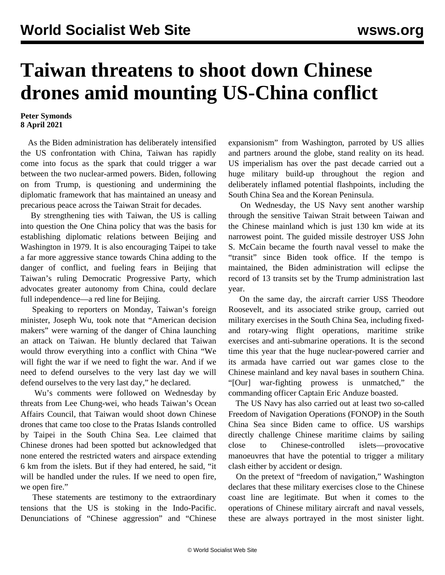## **Taiwan threatens to shoot down Chinese drones amid mounting US-China conflict**

## **Peter Symonds 8 April 2021**

 As the Biden administration has deliberately intensified the US confrontation with China, Taiwan has rapidly come into focus as the spark that could trigger a war between the two nuclear-armed powers. Biden, following on from Trump, is questioning and undermining the diplomatic framework that has maintained an uneasy and precarious peace across the Taiwan Strait for decades.

 By strengthening ties with Taiwan, the US is calling into question the One China policy that was the basis for establishing diplomatic relations between Beijing and Washington in 1979. It is also encouraging Taipei to take a far more aggressive stance towards China adding to the danger of conflict, and fueling fears in Beijing that Taiwan's ruling Democratic Progressive Party, which advocates greater autonomy from China, could declare full independence—a red line for Beijing.

 Speaking to reporters on Monday, Taiwan's foreign minister, Joseph Wu, took note that "American decision makers" were warning of the danger of China launching an attack on Taiwan. He bluntly declared that Taiwan would throw everything into a conflict with China "We will fight the war if we need to fight the war. And if we need to defend ourselves to the very last day we will defend ourselves to the very last day," he declared.

 Wu's comments were followed on Wednesday by threats from Lee Chung-wei, who heads Taiwan's Ocean Affairs Council, that Taiwan would shoot down Chinese drones that came too close to the Pratas Islands controlled by Taipei in the South China Sea. Lee claimed that Chinese drones had been spotted but acknowledged that none entered the restricted waters and airspace extending 6 km from the islets. But if they had entered, he said, "it will be handled under the rules. If we need to open fire, we open fire."

 These statements are testimony to the extraordinary tensions that the US is stoking in the Indo-Pacific. Denunciations of "Chinese aggression" and "Chinese expansionism" from Washington, parroted by US allies and partners around the globe, stand reality on its head. US imperialism has over the past decade carried out a huge military build-up throughout the region and deliberately inflamed potential flashpoints, including the South China Sea and the Korean Peninsula.

 On Wednesday, the US Navy sent another warship through the sensitive Taiwan Strait between Taiwan and the Chinese mainland which is just 130 km wide at its narrowest point. The guided missile destroyer USS John S. McCain became the fourth naval vessel to make the "transit" since Biden took office. If the tempo is maintained, the Biden administration will eclipse the record of 13 transits set by the Trump administration last year.

 On the same day, the aircraft carrier USS Theodore Roosevelt, and its associated strike group, carried out military exercises in the South China Sea, including fixedand rotary-wing flight operations, maritime strike exercises and anti-submarine operations. It is the second time this year that the huge nuclear-powered carrier and its armada have carried out war games close to the Chinese mainland and key naval bases in southern China. "[Our] war-fighting prowess is unmatched," the commanding officer Captain Eric Anduze boasted.

 The US Navy has also carried out at least two so-called Freedom of Navigation Operations (FONOP) in the South China Sea since Biden came to office. US warships directly challenge Chinese maritime claims by sailing close to Chinese-controlled islets—provocative manoeuvres that have the potential to trigger a military clash either by accident or design.

 On the pretext of "freedom of navigation," Washington declares that these military exercises close to the Chinese coast line are legitimate. But when it comes to the operations of Chinese military aircraft and naval vessels, these are always portrayed in the most sinister light.